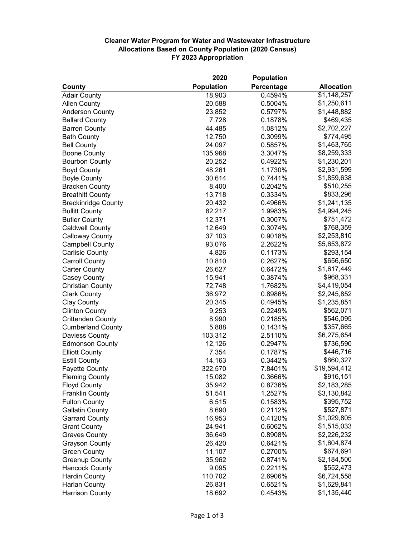## **Cleaner Water Program for Water and Wastewater Infrastructure Allocations Based on County Population (2020 Census) FY 2023 Appropriation**

|                            | 2020              | <b>Population</b> |                   |
|----------------------------|-------------------|-------------------|-------------------|
| County                     | <b>Population</b> | Percentage        | <b>Allocation</b> |
| <b>Adair County</b>        | 18,903            | 0.4594%           | \$1,148,257       |
| <b>Allen County</b>        | 20,588            | 0.5004%           | \$1,250,611       |
| <b>Anderson County</b>     | 23,852            | 0.5797%           | \$1,448,882       |
| <b>Ballard County</b>      | 7,728             | 0.1878%           | \$469,435         |
| <b>Barren County</b>       | 44,485            | 1.0812%           | \$2,702,227       |
| <b>Bath County</b>         | 12,750            | 0.3099%           | \$774,495         |
| <b>Bell County</b>         | 24,097            | 0.5857%           | \$1,463,765       |
| <b>Boone County</b>        | 135,968           | 3.3047%           | \$8,259,333       |
| <b>Bourbon County</b>      | 20,252            | 0.4922%           | \$1,230,201       |
| <b>Boyd County</b>         | 48,261            | 1.1730%           | \$2,931,599       |
| <b>Boyle County</b>        | 30,614            | 0.7441%           | \$1,859,638       |
| <b>Bracken County</b>      | 8,400             | 0.2042%           | \$510,255         |
| <b>Breathitt County</b>    | 13,718            | 0.3334%           | \$833,296         |
| <b>Breckinridge County</b> | 20,432            | 0.4966%           | \$1,241,135       |
| <b>Bullitt County</b>      | 82,217            | 1.9983%           | \$4,994,245       |
| <b>Butler County</b>       | 12,371            | 0.3007%           | \$751,472         |
| <b>Caldwell County</b>     | 12,649            | 0.3074%           | \$768,359         |
| <b>Calloway County</b>     | 37,103            | 0.9018%           | \$2,253,810       |
| <b>Campbell County</b>     | 93,076            | 2.2622%           | \$5,653,872       |
| <b>Carlisle County</b>     | 4,826             | 0.1173%           | \$293,154         |
| <b>Carroll County</b>      | 10,810            | 0.2627%           | \$656,650         |
| <b>Carter County</b>       | 26,627            | 0.6472%           | \$1,617,449       |
| Casey County               | 15,941            | 0.3874%           | \$968,331         |
| <b>Christian County</b>    | 72,748            | 1.7682%           | \$4,419,054       |
| <b>Clark County</b>        | 36,972            | 0.8986%           | \$2,245,852       |
| <b>Clay County</b>         | 20,345            | 0.4945%           | \$1,235,851       |
| <b>Clinton County</b>      | 9,253             | 0.2249%           | \$562,071         |
| <b>Crittenden County</b>   | 8,990             | 0.2185%           | \$546,095         |
| <b>Cumberland County</b>   | 5,888             | 0.1431%           | \$357,665         |
| Daviess County             | 103,312           | 2.5110%           | \$6,275,654       |
| <b>Edmonson County</b>     | 12,126            | 0.2947%           | \$736,590         |
| <b>Elliott County</b>      | 7,354             | 0.1787%           | \$446,716         |
| <b>Estill County</b>       | 14,163            | 0.3442%           | \$860,327         |
| <b>Fayette County</b>      | 322,570           | 7.8401%           | \$19,594,412      |
| <b>Fleming County</b>      | 15,082            | 0.3666%           | \$916,151         |
| <b>Floyd County</b>        | 35,942            | 0.8736%           | \$2,183,285       |
| <b>Franklin County</b>     | 51,541            | 1.2527%           | \$3,130,842       |
| <b>Fulton County</b>       | 6,515             | 0.1583%           | \$395,752         |
| <b>Gallatin County</b>     | 8,690             | 0.2112%           | \$527,871         |
| <b>Garrard County</b>      | 16,953            | 0.4120%           | \$1,029,805       |
| <b>Grant County</b>        | 24,941            | 0.6062%           | \$1,515,033       |
| <b>Graves County</b>       | 36,649            | 0.8908%           | \$2,226,232       |
| <b>Grayson County</b>      | 26,420            | 0.6421%           | \$1,604,874       |
| <b>Green County</b>        | 11,107            | 0.2700%           | \$674,691         |
| <b>Greenup County</b>      | 35,962            | 0.8741%           | \$2,184,500       |
| <b>Hancock County</b>      | 9,095             | 0.2211%           | \$552,473         |
| <b>Hardin County</b>       | 110,702           | 2.6906%           | \$6,724,558       |
| <b>Harlan County</b>       | 26,831            | 0.6521%           | \$1,629,841       |
| <b>Harrison County</b>     | 18,692            | 0.4543%           | \$1,135,440       |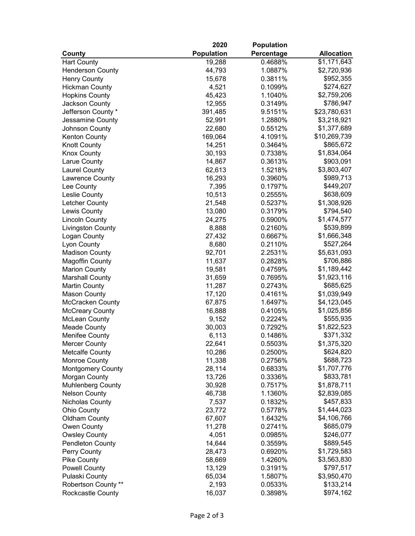|                            | 2020              | <b>Population</b> |                        |
|----------------------------|-------------------|-------------------|------------------------|
| County                     | <b>Population</b> | Percentage        | <b>Allocation</b>      |
| <b>Hart County</b>         | 19,288            | 0.4688%           | $\overline{1,}171,643$ |
| <b>Henderson County</b>    | 44,793            | 1.0887%           | \$2,720,936            |
| <b>Henry County</b>        | 15,678            | 0.3811%           | \$952,355              |
| <b>Hickman County</b>      | 4,521             | 0.1099%           | \$274,627              |
| <b>Hopkins County</b>      | 45,423            | 1.1040%           | \$2,759,206            |
| Jackson County             | 12,955            | 0.3149%           | \$786,947              |
| Jefferson County *         | 391,485           | 9.5151%           | \$23,780,631           |
| Jessamine County           | 52,991            | 1.2880%           | \$3,218,921            |
| Johnson County             | 22,680            | 0.5512%           | \$1,377,689            |
| <b>Kenton County</b>       | 169,064           | 4.1091%           | \$10,269,739           |
| <b>Knott County</b>        | 14,251            | 0.3464%           | \$865,672              |
| <b>Knox County</b>         | 30,193            | 0.7338%           | \$1,834,064            |
| Larue County               | 14,867            | 0.3613%           | \$903,091              |
| <b>Laurel County</b>       | 62,613            | 1.5218%           | \$3,803,407            |
| Lawrence County            | 16,293            | 0.3960%           | \$989,713              |
| Lee County                 | 7,395             | 0.1797%           | \$449,207              |
| Leslie County              | 10,513            | 0.2555%           | \$638,609              |
| Letcher County             | 21,548            | 0.5237%           | \$1,308,926            |
| Lewis County               | 13,080            | 0.3179%           | \$794,540              |
| <b>Lincoln County</b>      | 24,275            | 0.5900%           | \$1,474,577            |
| <b>Livingston County</b>   | 8,888             | 0.2160%           | \$539,899              |
| Logan County               | 27,432            | 0.6667%           | \$1,666,348            |
| Lyon County                | 8,680             | 0.2110%           | \$527,264              |
| <b>Madison County</b>      | 92,701            | 2.2531%           | \$5,631,093            |
| <b>Magoffin County</b>     | 11,637            | 0.2828%           | \$706,886              |
| <b>Marion County</b>       | 19,581            | 0.4759%           | \$1,189,442            |
| <b>Marshall County</b>     | 31,659            | 0.7695%           | \$1,923,116            |
| <b>Martin County</b>       | 11,287            | 0.2743%           | \$685,625              |
| <b>Mason County</b>        | 17,120            | 0.4161%           | \$1,039,949            |
| McCracken County           | 67,875            | 1.6497%           | \$4,123,045            |
| <b>McCreary County</b>     | 16,888            | 0.4105%           | \$1,025,856            |
| <b>McLean County</b>       | 9,152             | 0.2224%           | \$555,935              |
| <b>Meade County</b>        | 30,003            | 0.7292%           | \$1,822,523            |
| <b>Menifee County</b>      | 6,113             | 0.1486%           | \$371,332              |
| Mercer County              | 22,641            | 0.5503%           | \$1,375,320            |
| <b>Metcalfe County</b>     | 10,286            | 0.2500%           | \$624,820              |
| <b>Monroe County</b>       | 11,338            | 0.2756%           | \$688,723              |
| Montgomery County          | 28,114            | 0.6833%           | \$1,707,776            |
| Morgan County              | 13,726            | 0.3336%           | \$833,781              |
| <b>Muhlenberg County</b>   | 30,928            | 0.7517%           | \$1,878,711            |
| <b>Nelson County</b>       | 46,738            | 1.1360%           | \$2,839,085            |
| Nicholas County            | 7,537             | 0.1832%           | \$457,833              |
| Ohio County                | 23,772            | 0.5778%           | \$1,444,023            |
| <b>Oldham County</b>       | 67,607            | 1.6432%           | \$4,106,766            |
| Owen County                | 11,278            | 0.2741%           | \$685,079              |
| <b>Owsley County</b>       | 4,051             | 0.0985%           | \$246,077              |
| <b>Pendleton County</b>    | 14,644            | 0.3559%           | \$889,545              |
| Perry County               | 28,473            | 0.6920%           | \$1,729,583            |
| <b>Pike County</b>         | 58,669            | 1.4260%           | \$3,563,830            |
| <b>Powell County</b>       | 13,129            | 0.3191%           | \$797,517              |
| Pulaski County             | 65,034            | 1.5807%           | \$3,950,470            |
| <b>Robertson County **</b> | 2,193             | 0.0533%           | \$133,214              |
| Rockcastle County          | 16,037            | 0.3898%           | \$974,162              |